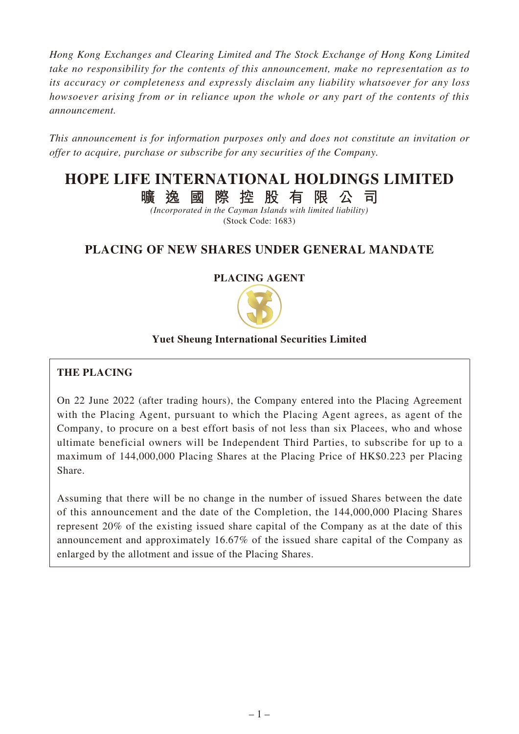*Hong Kong Exchanges and Clearing Limited and The Stock Exchange of Hong Kong Limited take no responsibility for the contents of this announcement, make no representation as to its accuracy or completeness and expressly disclaim any liability whatsoever for any loss howsoever arising from or in reliance upon the whole or any part of the contents of this announcement.*

*This announcement is for information purposes only and does not constitute an invitation or offer to acquire, purchase or subscribe for any securities of the Company.*

# **HOPE LIFE INTERNATIONAL HOLDINGS LIMITED**

**曠逸國際控股有限公司**

*(Incorporated in the Cayman Islands with limited liability)* (Stock Code: 1683)

# **PLACING OF NEW SHARES UNDER GENERAL MANDATE**

# **PLACING AGENT**



# **Yuet Sheung International Securities Limited**

# **THE PLACING**

On 22 June 2022 (after trading hours), the Company entered into the Placing Agreement with the Placing Agent, pursuant to which the Placing Agent agrees, as agent of the Company, to procure on a best effort basis of not less than six Placees, who and whose ultimate beneficial owners will be Independent Third Parties, to subscribe for up to a maximum of 144,000,000 Placing Shares at the Placing Price of HK\$0.223 per Placing Share.

Assuming that there will be no change in the number of issued Shares between the date of this announcement and the date of the Completion, the 144,000,000 Placing Shares represent 20% of the existing issued share capital of the Company as at the date of this announcement and approximately 16.67% of the issued share capital of the Company as enlarged by the allotment and issue of the Placing Shares.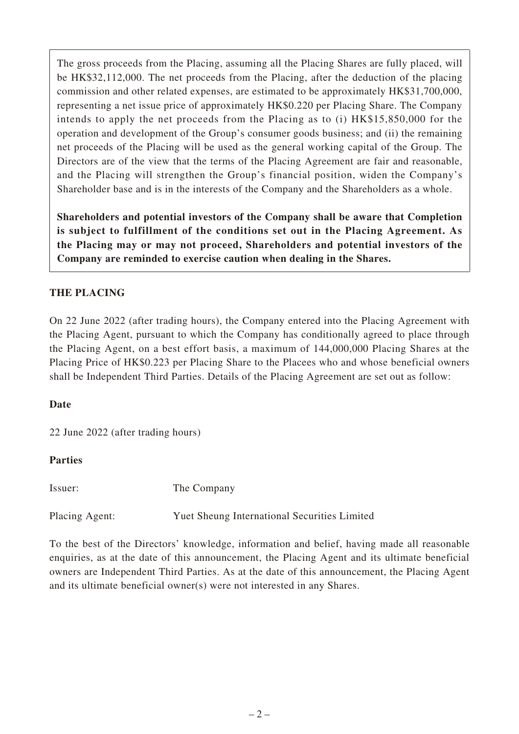The gross proceeds from the Placing, assuming all the Placing Shares are fully placed, will be HK\$32,112,000. The net proceeds from the Placing, after the deduction of the placing commission and other related expenses, are estimated to be approximately HK\$31,700,000, representing a net issue price of approximately HK\$0.220 per Placing Share. The Company intends to apply the net proceeds from the Placing as to (i) HK\$15,850,000 for the operation and development of the Group's consumer goods business; and (ii) the remaining net proceeds of the Placing will be used as the general working capital of the Group. The Directors are of the view that the terms of the Placing Agreement are fair and reasonable, and the Placing will strengthen the Group's financial position, widen the Company's Shareholder base and is in the interests of the Company and the Shareholders as a whole.

**Shareholders and potential investors of the Company shall be aware that Completion is subject to fulfillment of the conditions set out in the Placing Agreement. As the Placing may or may not proceed, Shareholders and potential investors of the Company are reminded to exercise caution when dealing in the Shares.**

# **THE PLACING**

On 22 June 2022 (after trading hours), the Company entered into the Placing Agreement with the Placing Agent, pursuant to which the Company has conditionally agreed to place through the Placing Agent, on a best effort basis, a maximum of 144,000,000 Placing Shares at the Placing Price of HK\$0.223 per Placing Share to the Placees who and whose beneficial owners shall be Independent Third Parties. Details of the Placing Agreement are set out as follow:

# **Date**

22 June 2022 (after trading hours)

#### **Parties**

Issuer: The Company

Placing Agent: Yuet Sheung International Securities Limited

To the best of the Directors' knowledge, information and belief, having made all reasonable enquiries, as at the date of this announcement, the Placing Agent and its ultimate beneficial owners are Independent Third Parties. As at the date of this announcement, the Placing Agent and its ultimate beneficial owner(s) were not interested in any Shares.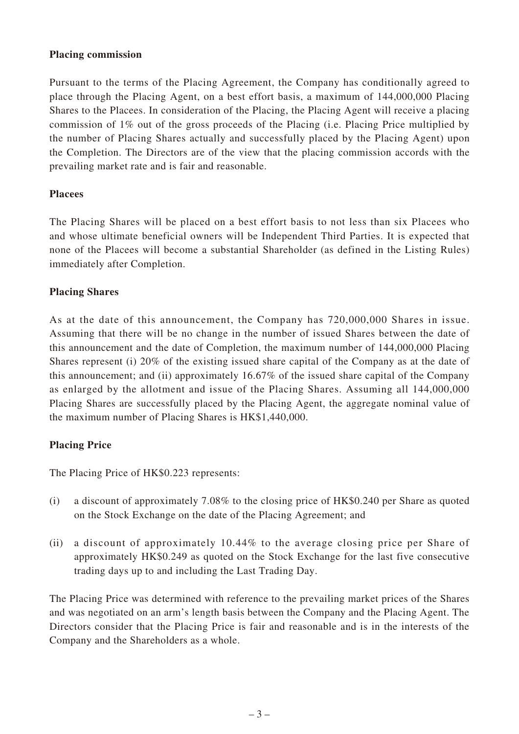#### **Placing commission**

Pursuant to the terms of the Placing Agreement, the Company has conditionally agreed to place through the Placing Agent, on a best effort basis, a maximum of 144,000,000 Placing Shares to the Placees. In consideration of the Placing, the Placing Agent will receive a placing commission of 1% out of the gross proceeds of the Placing (i.e. Placing Price multiplied by the number of Placing Shares actually and successfully placed by the Placing Agent) upon the Completion. The Directors are of the view that the placing commission accords with the prevailing market rate and is fair and reasonable.

#### **Placees**

The Placing Shares will be placed on a best effort basis to not less than six Placees who and whose ultimate beneficial owners will be Independent Third Parties. It is expected that none of the Placees will become a substantial Shareholder (as defined in the Listing Rules) immediately after Completion.

#### **Placing Shares**

As at the date of this announcement, the Company has 720,000,000 Shares in issue. Assuming that there will be no change in the number of issued Shares between the date of this announcement and the date of Completion, the maximum number of 144,000,000 Placing Shares represent (i) 20% of the existing issued share capital of the Company as at the date of this announcement; and (ii) approximately 16.67% of the issued share capital of the Company as enlarged by the allotment and issue of the Placing Shares. Assuming all 144,000,000 Placing Shares are successfully placed by the Placing Agent, the aggregate nominal value of the maximum number of Placing Shares is HK\$1,440,000.

#### **Placing Price**

The Placing Price of HK\$0.223 represents:

- (i) a discount of approximately 7.08% to the closing price of HK\$0.240 per Share as quoted on the Stock Exchange on the date of the Placing Agreement; and
- (ii) a discount of approximately 10.44% to the average closing price per Share of approximately HK\$0.249 as quoted on the Stock Exchange for the last five consecutive trading days up to and including the Last Trading Day.

The Placing Price was determined with reference to the prevailing market prices of the Shares and was negotiated on an arm's length basis between the Company and the Placing Agent. The Directors consider that the Placing Price is fair and reasonable and is in the interests of the Company and the Shareholders as a whole.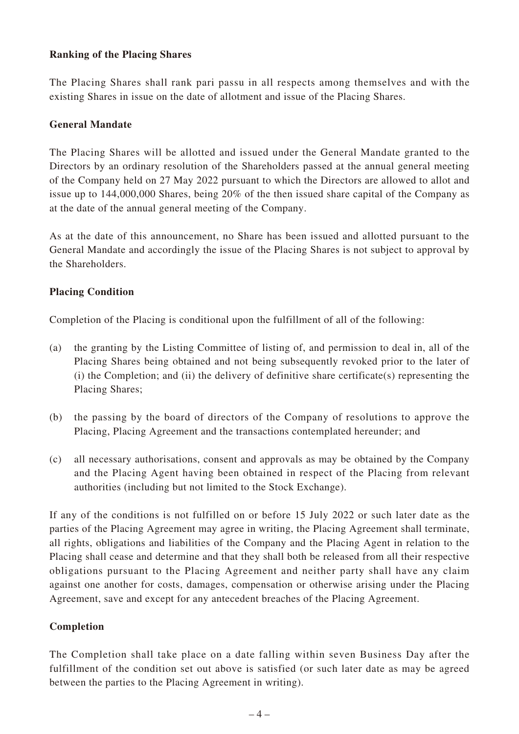#### **Ranking of the Placing Shares**

The Placing Shares shall rank pari passu in all respects among themselves and with the existing Shares in issue on the date of allotment and issue of the Placing Shares.

#### **General Mandate**

The Placing Shares will be allotted and issued under the General Mandate granted to the Directors by an ordinary resolution of the Shareholders passed at the annual general meeting of the Company held on 27 May 2022 pursuant to which the Directors are allowed to allot and issue up to 144,000,000 Shares, being 20% of the then issued share capital of the Company as at the date of the annual general meeting of the Company.

As at the date of this announcement, no Share has been issued and allotted pursuant to the General Mandate and accordingly the issue of the Placing Shares is not subject to approval by the Shareholders.

#### **Placing Condition**

Completion of the Placing is conditional upon the fulfillment of all of the following:

- (a) the granting by the Listing Committee of listing of, and permission to deal in, all of the Placing Shares being obtained and not being subsequently revoked prior to the later of (i) the Completion; and (ii) the delivery of definitive share certificate(s) representing the Placing Shares;
- (b) the passing by the board of directors of the Company of resolutions to approve the Placing, Placing Agreement and the transactions contemplated hereunder; and
- (c) all necessary authorisations, consent and approvals as may be obtained by the Company and the Placing Agent having been obtained in respect of the Placing from relevant authorities (including but not limited to the Stock Exchange).

If any of the conditions is not fulfilled on or before 15 July 2022 or such later date as the parties of the Placing Agreement may agree in writing, the Placing Agreement shall terminate, all rights, obligations and liabilities of the Company and the Placing Agent in relation to the Placing shall cease and determine and that they shall both be released from all their respective obligations pursuant to the Placing Agreement and neither party shall have any claim against one another for costs, damages, compensation or otherwise arising under the Placing Agreement, save and except for any antecedent breaches of the Placing Agreement.

# **Completion**

The Completion shall take place on a date falling within seven Business Day after the fulfillment of the condition set out above is satisfied (or such later date as may be agreed between the parties to the Placing Agreement in writing).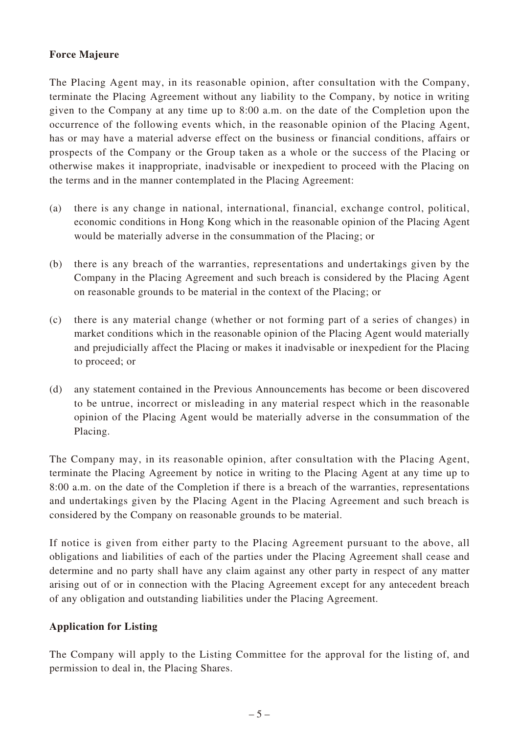#### **Force Majeure**

The Placing Agent may, in its reasonable opinion, after consultation with the Company, terminate the Placing Agreement without any liability to the Company, by notice in writing given to the Company at any time up to 8:00 a.m. on the date of the Completion upon the occurrence of the following events which, in the reasonable opinion of the Placing Agent, has or may have a material adverse effect on the business or financial conditions, affairs or prospects of the Company or the Group taken as a whole or the success of the Placing or otherwise makes it inappropriate, inadvisable or inexpedient to proceed with the Placing on the terms and in the manner contemplated in the Placing Agreement:

- (a) there is any change in national, international, financial, exchange control, political, economic conditions in Hong Kong which in the reasonable opinion of the Placing Agent would be materially adverse in the consummation of the Placing; or
- (b) there is any breach of the warranties, representations and undertakings given by the Company in the Placing Agreement and such breach is considered by the Placing Agent on reasonable grounds to be material in the context of the Placing; or
- (c) there is any material change (whether or not forming part of a series of changes) in market conditions which in the reasonable opinion of the Placing Agent would materially and prejudicially affect the Placing or makes it inadvisable or inexpedient for the Placing to proceed; or
- (d) any statement contained in the Previous Announcements has become or been discovered to be untrue, incorrect or misleading in any material respect which in the reasonable opinion of the Placing Agent would be materially adverse in the consummation of the Placing.

The Company may, in its reasonable opinion, after consultation with the Placing Agent, terminate the Placing Agreement by notice in writing to the Placing Agent at any time up to 8:00 a.m. on the date of the Completion if there is a breach of the warranties, representations and undertakings given by the Placing Agent in the Placing Agreement and such breach is considered by the Company on reasonable grounds to be material.

If notice is given from either party to the Placing Agreement pursuant to the above, all obligations and liabilities of each of the parties under the Placing Agreement shall cease and determine and no party shall have any claim against any other party in respect of any matter arising out of or in connection with the Placing Agreement except for any antecedent breach of any obligation and outstanding liabilities under the Placing Agreement.

#### **Application for Listing**

The Company will apply to the Listing Committee for the approval for the listing of, and permission to deal in, the Placing Shares.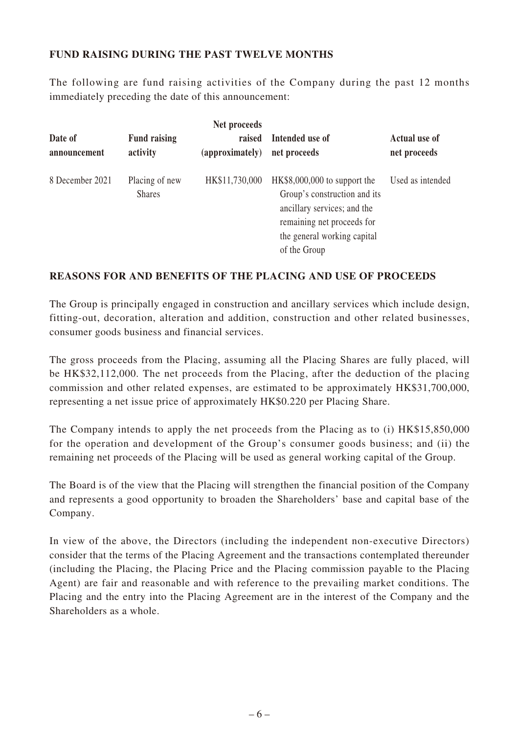#### **FUND RAISING DURING THE PAST TWELVE MONTHS**

The following are fund raising activities of the Company during the past 12 months immediately preceding the date of this announcement:

| Net proceeds            |                                 |                           |                                                                                                                                                                           |                                      |  |  |  |
|-------------------------|---------------------------------|---------------------------|---------------------------------------------------------------------------------------------------------------------------------------------------------------------------|--------------------------------------|--|--|--|
| Date of<br>announcement | <b>Fund raising</b><br>activity | raised<br>(approximately) | Intended use of<br>net proceeds                                                                                                                                           | <b>Actual use of</b><br>net proceeds |  |  |  |
| 8 December 2021         | Placing of new<br><b>Shares</b> | HK\$11,730,000            | $HK$8,000,000$ to support the<br>Group's construction and its<br>ancillary services; and the<br>remaining net proceeds for<br>the general working capital<br>of the Group | Used as intended                     |  |  |  |

#### **REASONS FOR AND BENEFITS OF THE PLACING AND USE OF PROCEEDS**

The Group is principally engaged in construction and ancillary services which include design, fitting-out, decoration, alteration and addition, construction and other related businesses, consumer goods business and financial services.

The gross proceeds from the Placing, assuming all the Placing Shares are fully placed, will be HK\$32,112,000. The net proceeds from the Placing, after the deduction of the placing commission and other related expenses, are estimated to be approximately HK\$31,700,000, representing a net issue price of approximately HK\$0.220 per Placing Share.

The Company intends to apply the net proceeds from the Placing as to (i) HK\$15,850,000 for the operation and development of the Group's consumer goods business; and (ii) the remaining net proceeds of the Placing will be used as general working capital of the Group.

The Board is of the view that the Placing will strengthen the financial position of the Company and represents a good opportunity to broaden the Shareholders' base and capital base of the Company.

In view of the above, the Directors (including the independent non-executive Directors) consider that the terms of the Placing Agreement and the transactions contemplated thereunder (including the Placing, the Placing Price and the Placing commission payable to the Placing Agent) are fair and reasonable and with reference to the prevailing market conditions. The Placing and the entry into the Placing Agreement are in the interest of the Company and the Shareholders as a whole.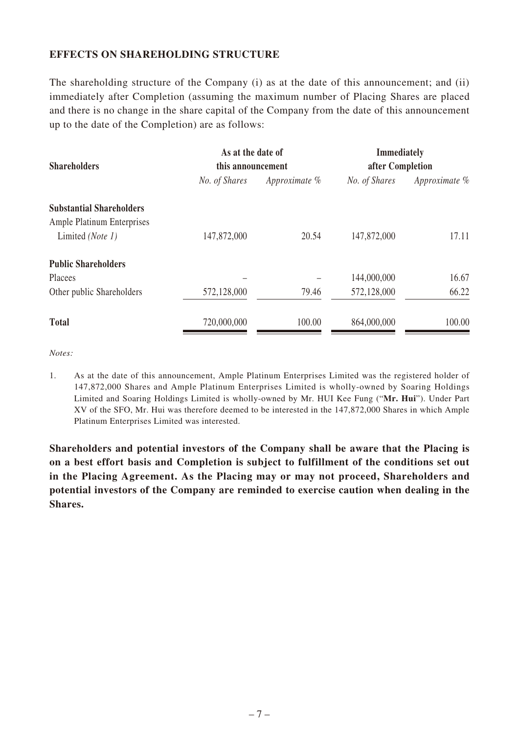#### **EFFECTS ON SHAREHOLDING STRUCTURE**

The shareholding structure of the Company (i) as at the date of this announcement; and (ii) immediately after Completion (assuming the maximum number of Placing Shares are placed and there is no change in the share capital of the Company from the date of this announcement up to the date of the Completion) are as follows:

| <b>Shareholders</b>               | As at the date of<br>this announcement |               | <b>Immediately</b><br>after Completion |               |
|-----------------------------------|----------------------------------------|---------------|----------------------------------------|---------------|
|                                   | No. of Shares                          | Approximate % | No. of Shares                          | Approximate % |
| <b>Substantial Shareholders</b>   |                                        |               |                                        |               |
| <b>Ample Platinum Enterprises</b> |                                        |               |                                        |               |
| Limited (Note 1)                  | 147,872,000                            | 20.54         | 147,872,000                            | 17.11         |
| <b>Public Shareholders</b>        |                                        |               |                                        |               |
| Placees                           |                                        |               | 144,000,000                            | 16.67         |
| Other public Shareholders         | 572,128,000                            | 79.46         | 572,128,000                            | 66.22         |
| <b>Total</b>                      | 720,000,000                            | 100.00        | 864,000,000                            | 100.00        |

*Notes:*

1. As at the date of this announcement, Ample Platinum Enterprises Limited was the registered holder of 147,872,000 Shares and Ample Platinum Enterprises Limited is wholly-owned by Soaring Holdings Limited and Soaring Holdings Limited is wholly-owned by Mr. HUI Kee Fung ("**Mr. Hui**"). Under Part XV of the SFO, Mr. Hui was therefore deemed to be interested in the 147,872,000 Shares in which Ample Platinum Enterprises Limited was interested.

**Shareholders and potential investors of the Company shall be aware that the Placing is on a best effort basis and Completion is subject to fulfillment of the conditions set out in the Placing Agreement. As the Placing may or may not proceed, Shareholders and potential investors of the Company are reminded to exercise caution when dealing in the Shares.**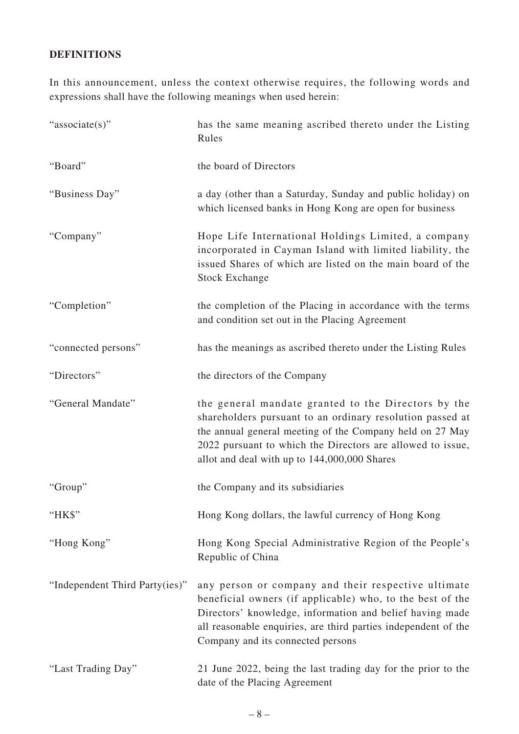# **DEFINITIONS**

In this announcement, unless the context otherwise requires, the following words and expressions shall have the following meanings when used herein:

| "associate(s)"                 | has the same meaning ascribed thereto under the Listing<br>Rules                                                                                                                                                                                                                           |  |
|--------------------------------|--------------------------------------------------------------------------------------------------------------------------------------------------------------------------------------------------------------------------------------------------------------------------------------------|--|
| "Board"                        | the board of Directors                                                                                                                                                                                                                                                                     |  |
| "Business Day"                 | a day (other than a Saturday, Sunday and public holiday) on<br>which licensed banks in Hong Kong are open for business                                                                                                                                                                     |  |
| "Company"                      | Hope Life International Holdings Limited, a company<br>incorporated in Cayman Island with limited liability, the<br>issued Shares of which are listed on the main board of the<br><b>Stock Exchange</b>                                                                                    |  |
| "Completion"                   | the completion of the Placing in accordance with the terms<br>and condition set out in the Placing Agreement                                                                                                                                                                               |  |
| "connected persons"            | has the meanings as ascribed thereto under the Listing Rules                                                                                                                                                                                                                               |  |
| "Directors"                    | the directors of the Company                                                                                                                                                                                                                                                               |  |
| "General Mandate"              | the general mandate granted to the Directors by the<br>shareholders pursuant to an ordinary resolution passed at<br>the annual general meeting of the Company held on 27 May<br>2022 pursuant to which the Directors are allowed to issue,<br>allot and deal with up to 144,000,000 Shares |  |
| "Group"                        | the Company and its subsidiaries                                                                                                                                                                                                                                                           |  |
| "HK\$"                         | Hong Kong dollars, the lawful currency of Hong Kong                                                                                                                                                                                                                                        |  |
| "Hong Kong"                    | Hong Kong Special Administrative Region of the People's<br>Republic of China                                                                                                                                                                                                               |  |
| "Independent Third Party(ies)" | any person or company and their respective ultimate<br>beneficial owners (if applicable) who, to the best of the<br>Directors' knowledge, information and belief having made<br>all reasonable enquiries, are third parties independent of the<br>Company and its connected persons        |  |
| "Last Trading Day"             | 21 June 2022, being the last trading day for the prior to the<br>date of the Placing Agreement                                                                                                                                                                                             |  |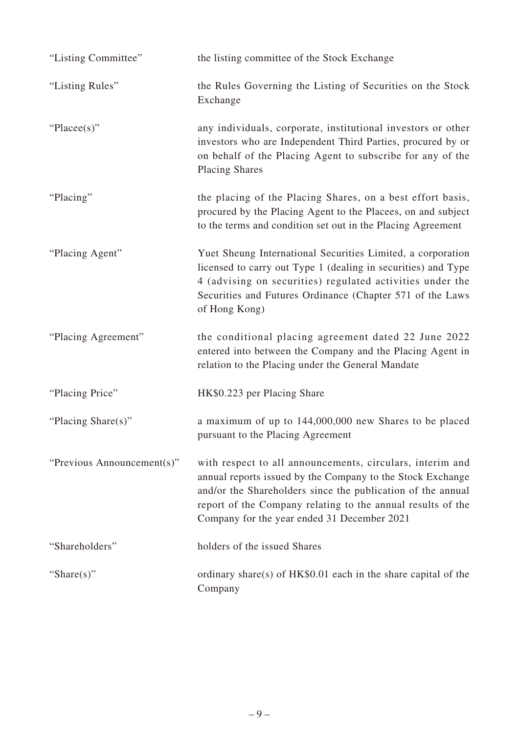| "Listing Committee"        | the listing committee of the Stock Exchange                                                                                                                                                                                                                                                          |
|----------------------------|------------------------------------------------------------------------------------------------------------------------------------------------------------------------------------------------------------------------------------------------------------------------------------------------------|
| "Listing Rules"            | the Rules Governing the Listing of Securities on the Stock<br>Exchange                                                                                                                                                                                                                               |
| "Placee(s)"                | any individuals, corporate, institutional investors or other<br>investors who are Independent Third Parties, procured by or<br>on behalf of the Placing Agent to subscribe for any of the<br><b>Placing Shares</b>                                                                                   |
| "Placing"                  | the placing of the Placing Shares, on a best effort basis,<br>procured by the Placing Agent to the Placees, on and subject<br>to the terms and condition set out in the Placing Agreement                                                                                                            |
| "Placing Agent"            | Yuet Sheung International Securities Limited, a corporation<br>licensed to carry out Type 1 (dealing in securities) and Type<br>4 (advising on securities) regulated activities under the<br>Securities and Futures Ordinance (Chapter 571 of the Laws<br>of Hong Kong)                              |
| "Placing Agreement"        | the conditional placing agreement dated 22 June 2022<br>entered into between the Company and the Placing Agent in<br>relation to the Placing under the General Mandate                                                                                                                               |
| "Placing Price"            | HK\$0.223 per Placing Share                                                                                                                                                                                                                                                                          |
| "Placing Share(s)"         | a maximum of up to 144,000,000 new Shares to be placed<br>pursuant to the Placing Agreement                                                                                                                                                                                                          |
| "Previous Announcement(s)" | with respect to all announcements, circulars, interim and<br>annual reports issued by the Company to the Stock Exchange<br>and/or the Shareholders since the publication of the annual<br>report of the Company relating to the annual results of the<br>Company for the year ended 31 December 2021 |
| "Shareholders"             | holders of the issued Shares                                                                                                                                                                                                                                                                         |
| "Share $(s)$ "             | ordinary share(s) of $HK$0.01$ each in the share capital of the<br>Company                                                                                                                                                                                                                           |